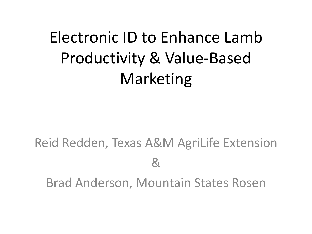### Electronic ID to Enhance Lamb Productivity & Value-Based Marketing

#### Reid Redden, Texas A&M AgriLife Extension & Brad Anderson, Mountain States Rosen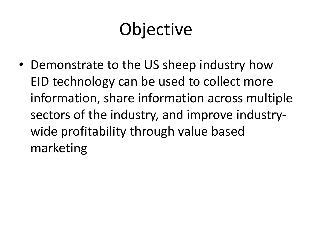## **Objective**

• Demonstrate to the US sheep industry how EID technology can be used to collect more information, share information across multiple sectors of the industry, and improve industrywide profitability through value based marketing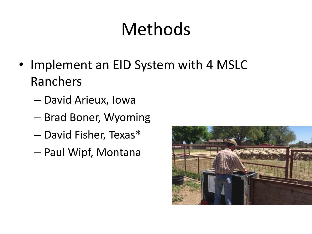## Methods

- Implement an EID System with 4 MSLC Ranchers
	- David Arieux, Iowa
	- Brad Boner, Wyoming
	- David Fisher, Texas\*
	- Paul Wipf, Montana

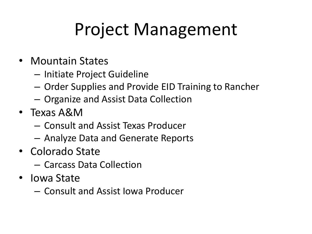## Project Management

- Mountain States
	- Initiate Project Guideline
	- Order Supplies and Provide EID Training to Rancher
	- Organize and Assist Data Collection
- Texas A&M
	- Consult and Assist Texas Producer
	- Analyze Data and Generate Reports
- Colorado State
	- Carcass Data Collection
- Iowa State
	- Consult and Assist Iowa Producer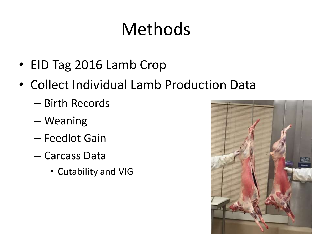## Methods

- EID Tag 2016 Lamb Crop
- Collect Individual Lamb Production Data
	- Birth Records
	- Weaning
	- Feedlot Gain
	- Carcass Data
		- Cutability and VIG

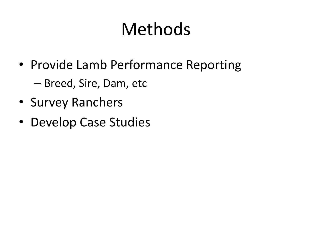## Methods

- Provide Lamb Performance Reporting – Breed, Sire, Dam, etc
- Survey Ranchers
- Develop Case Studies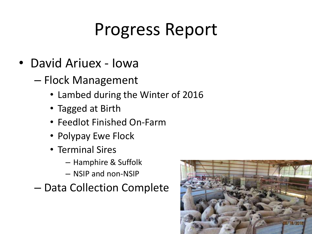- David Ariuex Iowa
	- Flock Management
		- Lambed during the Winter of 2016
		- Tagged at Birth
		- Feedlot Finished On-Farm
		- Polypay Ewe Flock
		- Terminal Sires
			- Hamphire & Suffolk
			- NSIP and non-NSIP
	- Data Collection Complete

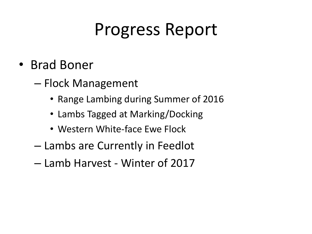- Brad Boner
	- Flock Management
		- Range Lambing during Summer of 2016
		- Lambs Tagged at Marking/Docking
		- Western White-face Ewe Flock
	- Lambs are Currently in Feedlot
	- Lamb Harvest Winter of 2017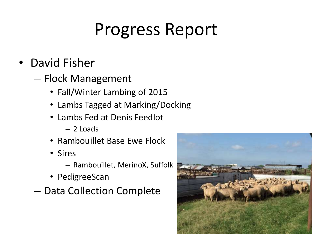- David Fisher
	- Flock Management
		- Fall/Winter Lambing of 2015
		- Lambs Tagged at Marking/Docking
		- Lambs Fed at Denis Feedlot
			- 2 Loads
		- Rambouillet Base Ewe Flock
		- Sires
			- Rambouillet, MerinoX, Suffolk
		- PedigreeScan
	- Data Collection Complete

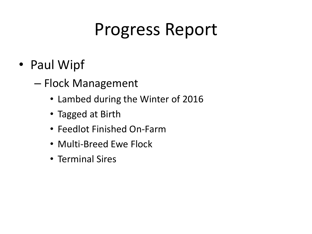- Paul Wipf
	- Flock Management
		- Lambed during the Winter of 2016
		- Tagged at Birth
		- Feedlot Finished On-Farm
		- Multi-Breed Ewe Flock
		- Terminal Sires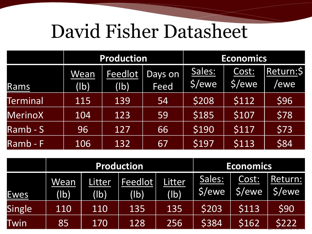# David Fisher Datasheet

|                     |                                    | <b>Production</b> |             | <b>Economics</b> |           |           |
|---------------------|------------------------------------|-------------------|-------------|------------------|-----------|-----------|
|                     | Wean                               | Feedlot           | Days on     | Sales:           | Cost:     | Return:\$ |
| Rams                | $\mathsf{I}(\mathsf{I}\mathsf{b})$ | (lb)              | <b>Feed</b> | \$/ewe           | $ 5/$ ewe | /ewe      |
| <b>Terminal</b>     | 115                                | 139               | 54          | \$208            | \$112     | \$96      |
| <b>MerinoX</b>      | 104                                | 123               | 59          | \$185            | \$107     | \$78      |
| $Ram\overline{b-S}$ | 96                                 | 127               | 66          | \$190            | \$117     | \$73      |
| Ramb-F              | 106                                | 132               | 67          | \$197            | \$113     | \$84      |

|               |              |                | <b>Production</b> | <b>Economics</b>          |                  |                 |                  |
|---------------|--------------|----------------|-------------------|---------------------------|------------------|-----------------|------------------|
| <u>Ewes</u>   | Wean<br>(1b) | Litter<br>(lb) | Feedlot<br>(lb)   | Litter<br>$(\mathsf{lb})$ | Sales:<br>\$/ewe | Cost:<br>\$/ewe | Return:<br>5/ewe |
| <b>Single</b> | 110          | 110            | 135               | 135                       | \$203            | \$113           | \$90             |
| Twin          | 85           | 170            | 128               | 256                       | \$384            | \$162           | \$222            |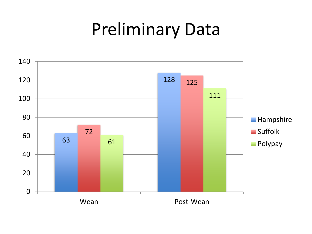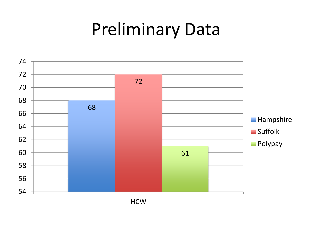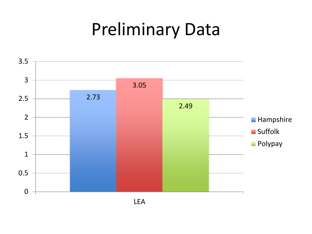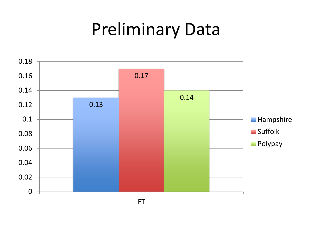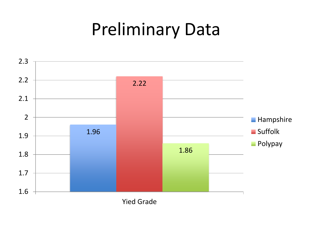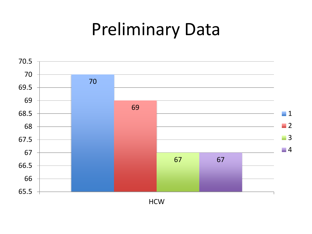

**HCW**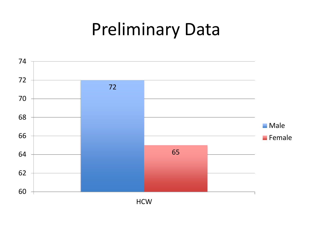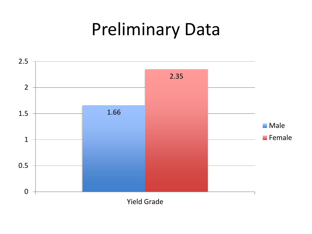

Yield Grade